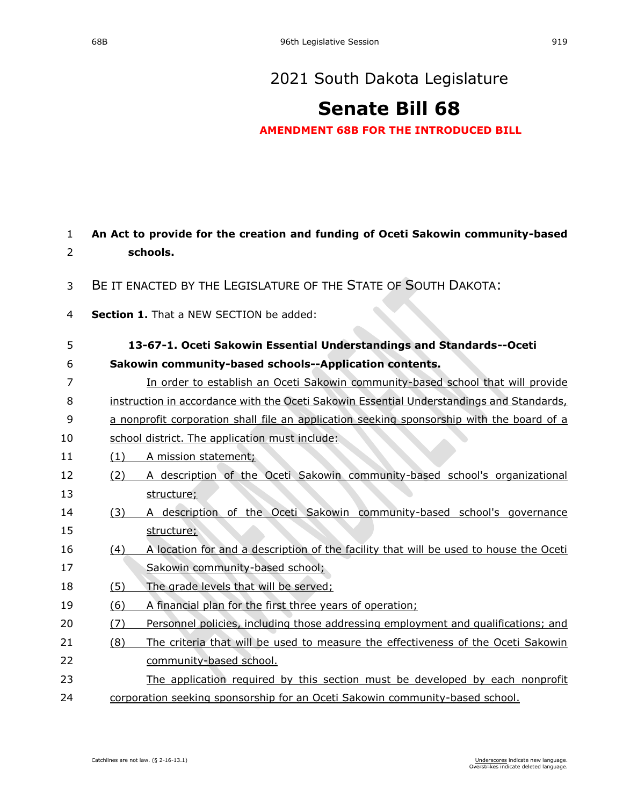# **[Senate Bill 68](https://sdlegislature.gov/Session/Bill/21812)**

**AMENDMENT 68B FOR THE INTRODUCED BILL**

| 1  |     | An Act to provide for the creation and funding of Oceti Sakowin community-based           |
|----|-----|-------------------------------------------------------------------------------------------|
| 2  |     | schools.                                                                                  |
| 3  |     | BE IT ENACTED BY THE LEGISLATURE OF THE STATE OF SOUTH DAKOTA:                            |
| 4  |     | Section 1. That a NEW SECTION be added:                                                   |
| 5  |     | 13-67-1. Oceti Sakowin Essential Understandings and Standards--Oceti                      |
| 6  |     | Sakowin community-based schools--Application contents.                                    |
| 7  |     | In order to establish an Oceti Sakowin community-based school that will provide           |
| 8  |     | instruction in accordance with the Oceti Sakowin Essential Understandings and Standards,  |
| 9  |     | a nonprofit corporation shall file an application seeking sponsorship with the board of a |
| 10 |     | school district. The application must include:                                            |
| 11 | (1) | A mission statement;                                                                      |
| 12 | (2) | A description of the Oceti Sakowin community-based school's organizational                |
| 13 |     | structure;                                                                                |
| 14 | (3) | A description of the Oceti Sakowin community-based school's governance                    |
| 15 |     | structure;                                                                                |
| 16 | (4) | A location for and a description of the facility that will be used to house the Oceti     |
| 17 |     | Sakowin community-based school;                                                           |
| 18 | (5) | The grade levels that will be served;                                                     |
| 19 | (6) | A financial plan for the first three years of operation;                                  |
| 20 | (7) | Personnel policies, including those addressing employment and qualifications; and         |
| 21 | (8) | The criteria that will be used to measure the effectiveness of the Oceti Sakowin          |
| 22 |     | community-based school.                                                                   |
| 23 |     | The application required by this section must be developed by each nonprofit              |
| 24 |     | corporation seeking sponsorship for an Oceti Sakowin community-based school.              |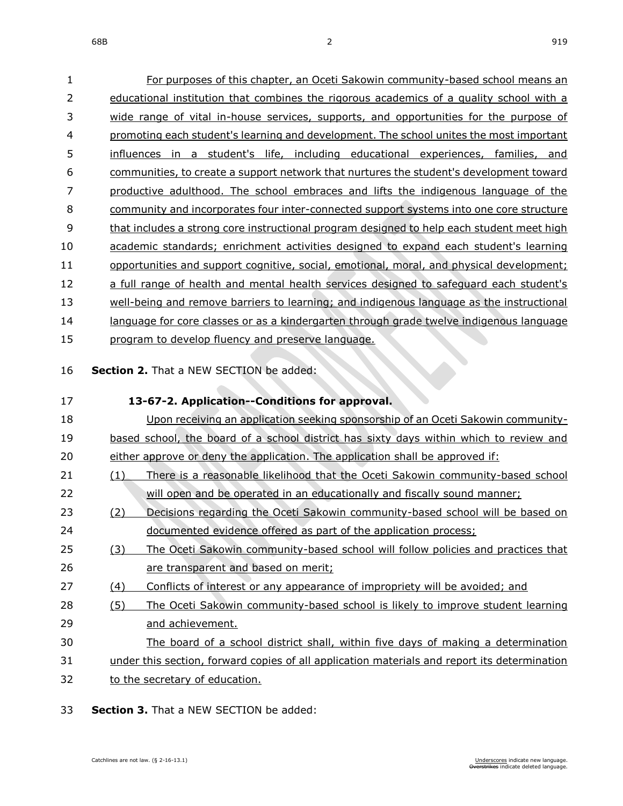For purposes of this chapter, an Oceti Sakowin community-based school means an

| $\overline{2}$ | educational institution that combines the rigorous academics of a quality school with a   |
|----------------|-------------------------------------------------------------------------------------------|
| 3              | wide range of vital in-house services, supports, and opportunities for the purpose of     |
| 4              | promoting each student's learning and development. The school unites the most important   |
| 5              | influences in a student's life, including educational experiences, families, and          |
| 6              | communities, to create a support network that nurtures the student's development toward   |
| 7              | productive adulthood. The school embraces and lifts the indigenous language of the        |
| 8              | community and incorporates four inter-connected support systems into one core structure   |
| 9              | that includes a strong core instructional program designed to help each student meet high |
| 10             | academic standards; enrichment activities designed to expand each student's learning      |
| 11             | opportunities and support cognitive, social, emotional, moral, and physical development;  |
| 12             | a full range of health and mental health services designed to safeguard each student's    |
| 13             | well-being and remove barriers to learning; and indigenous language as the instructional  |
| 14             | language for core classes or as a kindergarten through grade twelve indigenous language   |
| 15             | program to develop fluency and preserve language.                                         |
| 16             | Section 2. That a NEW SECTION be added:                                                   |
| 17             | 13-67-2. Application--Conditions for approval.                                            |
| 18             | Upon receiving an application seeking sponsorship of an Oceti Sakowin community-          |
| 19             | based school, the board of a school district has sixty days within which to review and    |
| 20             | either approve or deny the application. The application shall be approved if:             |
| 21             | There is a reasonable likelihood that the Oceti Sakowin community-based school<br>(1)     |

- **Section 2.** That a NEW
- 18 Upon receiving and Density-19 based school, the b either approve or deny the approvents (1) There is a re will open and be operated in an educationally and fiscally sound manner; (2) Decisions regarding the Oceti Sakowin community-based school will be based on documented evidence offered as part of the application process; (3) The Oceti Sakowin community-based school will follow policies and practices that are transparent and based on merit; (4) Conflicts of interest or any appearance of impropriety will be avoided; and (5) The Oceti Sakowin community-based school is likely to improve student learning and achievement. The board of a school district shall, within five days of making a determination under this section, forward copies of all application materials and report its determination to the secretary of education.
- **Section 3.** That a NEW SECTION be added: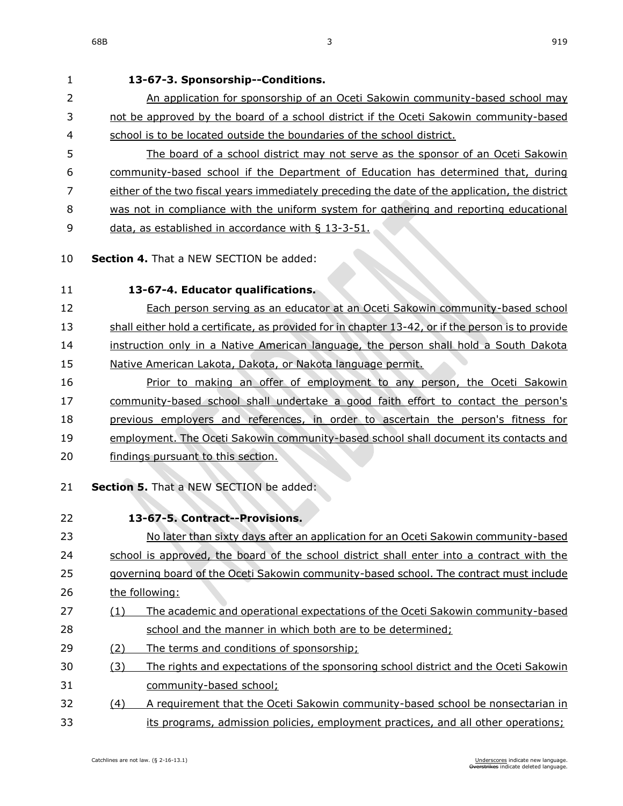**13-67-3. Sponsorship--Conditions.** 2 An application for sponsorship of an Oceti Sakowin community-based school may not be approved by the board of a school district if the Oceti Sakowin community-based school is to be located outside the boundaries of the school district. The board of a school district may not serve as the sponsor of an Oceti Sakowin community-based school if the Department of Education has determined that, during either of the two fiscal years immediately preceding the date of the application, the district was not in compliance with the uniform system for gathering and reporting educational 9 data, as established in accordance with § [13-3-51.](https://sdlegislature.gov/Statutes/Codified_Laws/DisplayStatute.aspx?Type=Statute&Statute=13-3-51) **Section 4.** That a NEW SECTION be added: **13-67-4. Educator qualifications.** Each person serving as an educator at an Oceti Sakowin community-based school shall either hold a certificate, as provided for in chapter [13-42,](https://sdlegislature.gov/Statutes/Codified_Laws/DisplayStatute.aspx?Type=Statute&Statute=13-42) or if the person is to provide instruction only in a Native American language, the person shall hold a South Dakota 15 Native American Lakota, Dakota, or Nakota language permit. Prior to making an offer of employment to any person, the Oceti Sakowin community-based school shall undertake a good faith effort to contact the person's previous employers and references, in order to ascertain the person's fitness for employment. The Oceti Sakowin community-based school shall document its contacts and findings pursuant to this section. **Section 5.** That a NEW SECTION be added: **13-67-5. Contract--Provisions.** No later than sixty days after an application for an Oceti Sakowin community-based 24 school is approved, the board of the school district shall enter into a contract with the governing board of the Oceti Sakowin community-based school. The contract must include the following: (1) The academic and operational expectations of the Oceti Sakowin community-based school and the manner in which both are to be determined; (2) The terms and conditions of sponsorship; (3) The rights and expectations of the sponsoring school district and the Oceti Sakowin community-based school; (4) A requirement that the Oceti Sakowin community-based school be nonsectarian in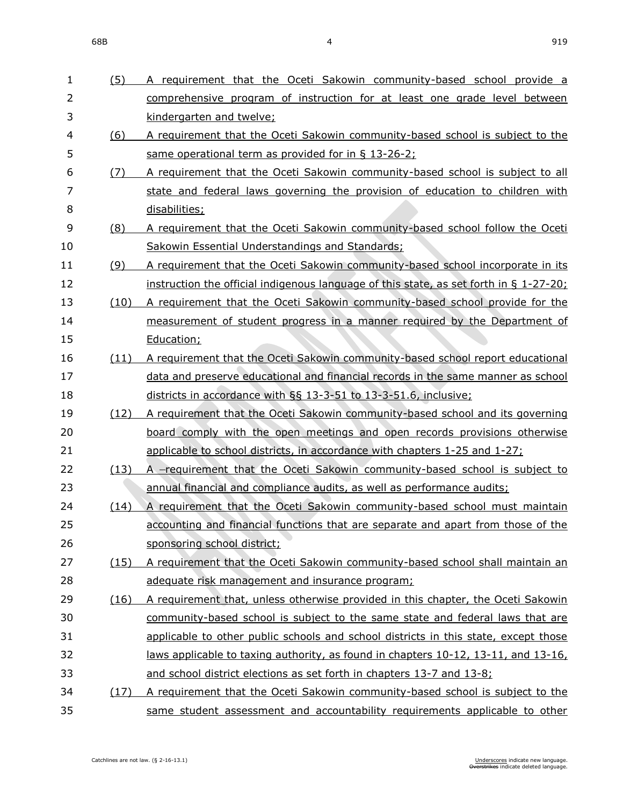| mprenensive program of instruction for at least one grade level between.             |
|--------------------------------------------------------------------------------------|
| ndergarten and twelve;                                                               |
| requirement that the Oceti Sakowin community-based school is subject to the          |
| me operational term as provided for in § 13-26-2;                                    |
| requirement that the Oceti Sakowin community-based school is subject to all          |
| ate and federal laws governing the provision of education to children with           |
| <u>sabilities;</u>                                                                   |
| requirement that the Oceti Sakowin community-based school follow the Oceti           |
| kowin Essential Understandings and Standards;                                        |
| requirement that the Oceti Sakowin community-based school incorporate in its         |
| struction the official indigenous language of this state, as set forth in § 1-27-20; |
| requirement that the Oceti Sakowin community-based school provide for the            |
| easurement of student progress in a manner required by the Department of             |
| <u>ucation;</u>                                                                      |
| requirement that the Oceti Sakowin community-based school report educational         |
| ta and preserve educational and financial records in the same manner as school       |
| stricts in accordance with §§ 13-3-51 to 13-3-51.6, inclusive;                       |
| requirement that the Oceti Sakowin community-based school and its governing          |
| ard comply with the open meetings and open records provisions otherwise              |
| plicable to school districts, in accordance with chapters 1-25 and 1-27;             |
| -requirement that the Oceti Sakowin community-based school is subject to             |
| nual financial and compliance audits, as well as performance audits;                 |
| requirement that the Oceti Sakowin community-based school must maintain              |
| counting and financial functions that are separate and apart from those of the       |
| <u>onsoring school district;</u>                                                     |
| requirement that the Oceti Sakowin community-based school shall maintain an          |
| equate risk management and insurance program;                                        |
| requirement that, unless otherwise provided in this chapter, the Oceti Sakowin       |
| mmunity-based school is subject to the same state and federal laws that are          |

- 1 (5) A requirement that the Oceti Sakowin community-based school provide a 2 comprehensive program of instruction for at least one grade level between 3 kindergarten and twelve;
- 4 (6) A requirement that the Oceti Sakowin community-based school is subject to the 5 same operational term as provided for in § [13-26-2;](https://sdlegislature.gov/Statutes/Codified_Laws/DisplayStatute.aspx?Type=Statute&Statute=13-26-2)
- 6 (7) A requirement that the Oceti Sakowin community-based school is subject to all 7 **state and federal laws governing the provision of education to children with** 8 dis
- 9 (8) A requirement that the Oceti Sakowin community-based school follow the Oceti 10 Sakowin Essential Understandings and Standards;
- 11 (9) A requirement that the Oceti Sakowin community-based school incorporate in its 12 **instruction the official indigenous language of this state, as set forth in § [1-27-20;](https://sdlegislature.gov/Statutes/Codified_Laws/DisplayStatute.aspx?Type=Statute&Statute=1-27-20)**
- 13 (10) A requirement that the Oceti Sakowin community-based school provide for the 14 **measurement of student progress in a manner required by the Department of** 15 Edu
- 16 (11) A requirement that the Oceti Sakowin community-based school report educational 17 data and preserve educational and financial records in the same manner as school 18 districts in accordance with §§ [13-3-51](https://sdlegislature.gov/Statutes/Codified_Laws/DisplayStatute.aspx?Type=Statute&Statute=13-3-51) to [13-3-51.](https://sdlegislature.gov/Statutes/Codified_Laws/DisplayStatute.aspx?Type=Statute&Statute=13-3-51)6, inclusive;
- 19 (12) A requirement that the Oceti Sakowin community-based school and its governing 20 board comply with the open meetings and open records provisions otherwise 21 applicable to school districts, in accordance with chapters [1-25](https://sdlegislature.gov/Statutes/Codified_Laws/DisplayStatute.aspx?Type=Statute&Statute=1-25) and [1-27;](https://sdlegislature.gov/Statutes/Codified_Laws/DisplayStatute.aspx?Type=Statute&Statute=1-27)
- 22 (13) A -requirement that the Oceti Sakowin community-based school is subject to 23 annual financial and compliance audits, as well as performance audits;
- 24 (14) A requirement that the Oceti Sakowin community-based school must maintain 25 accounting and financial functions that are separate and apart from those of the 26 sponsoring school district;
- 27 (15) A requirement that the Oceti Sakowin community-based school shall maintain an 28 adequate risk management and insurance program;
- 29 (16) A requirement that, unless otherwise provided in this chapter, the Oceti Sakowin 30 community-based school is subject to the same state and federal laws that are 31 applicable to other public schools and school districts in this state, except those 32 laws applicable to taxing authority, as found in chapters [10-12,](https://sdlegislature.gov/Statutes/Codified_Laws/DisplayStatute.aspx?Type=Statute&Statute=10-12) [13-11,](https://sdlegislature.gov/Statutes/Codified_Laws/DisplayStatute.aspx?Type=Statute&Statute=13-11) and [13-16,](https://sdlegislature.gov/Statutes/Codified_Laws/DisplayStatute.aspx?Type=Statute&Statute=13-16) 33 and school district elections as set forth in chapters [13-7](https://sdlegislature.gov/Statutes/Codified_Laws/DisplayStatute.aspx?Type=Statute&Statute=13-7) and [13-8;](https://sdlegislature.gov/Statutes/Codified_Laws/DisplayStatute.aspx?Type=Statute&Statute=13-8)
- 34 (17) A requirement that the Oceti Sakowin community-based school is subject to the 35 same student assessment and accountability requirements applicable to other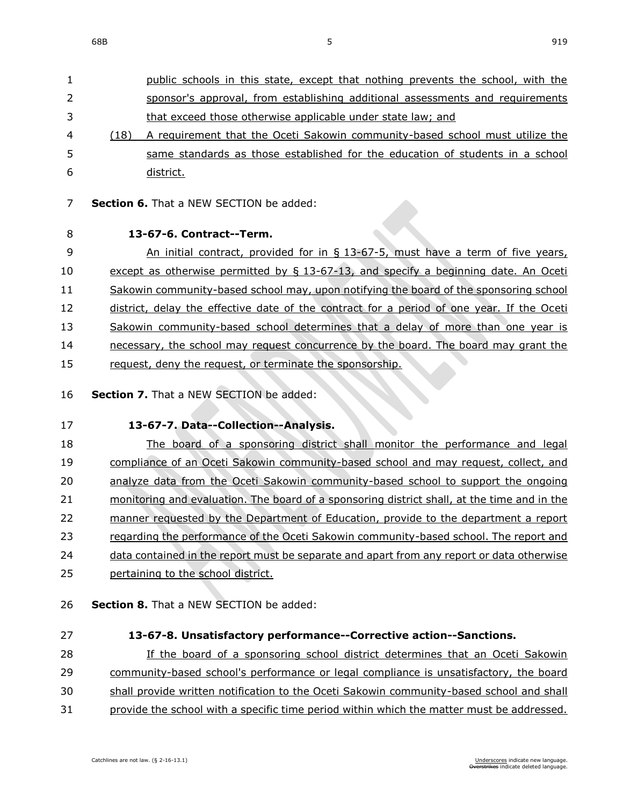| $\mathbf{1}$ |      | public schools in this state, except that nothing prevents the school, with the |
|--------------|------|---------------------------------------------------------------------------------|
| 2            |      | sponsor's approval, from establishing additional assessments and requirements   |
| 3            |      | that exceed those otherwise applicable under state law; and                     |
| 4            | (18) | A requirement that the Oceti Sakowin community-based school must utilize the    |
| 5.           |      | same standards as those established for the education of students in a school   |
| 6            |      | district.                                                                       |

- **Section 6.** That a NEW SECTION be added:
- 

#### **13-67-6. Contract--Term.**

9 An initial contract, provided for in § 13-67-5, must have a term of five years, 10 except as otherwise permitted by § 13-67-13, and specify a beginning date. An Oceti Sakowin community-based school may, upon notifying the board of the sponsoring school 12 district, delay the effective date of the contract for a period of one year. If the Oceti Sakowin community-based school determines that a delay of more than one year is 14 necessary, the school may request concurrence by the board. The board may grant the 15 request, deny the request, or terminate the sponsorship.

**Section 7.** That a NEW SECTION be added:

**13-67-7. Data--Collection--Analysis.**

 The board of a sponsoring district shall monitor the performance and legal compliance of an Oceti Sakowin community-based school and may request, collect, and analyze data from the Oceti Sakowin community-based school to support the ongoing monitoring and evaluation. The board of a sponsoring district shall, at the time and in the manner requested by the Department of Education, provide to the department a report regarding the performance of the Oceti Sakowin community-based school. The report and data contained in the report must be separate and apart from any report or data otherwise

- pertaining to the school district.
- **Section 8.** That a NEW SECTION be added:
- 

#### **13-67-8. Unsatisfactory performance--Corrective action--Sanctions.**

If the board of a sponsoring school district determines that an Oceti Sakowin

community-based school's performance or legal compliance is unsatisfactory, the board

shall provide written notification to the Oceti Sakowin community-based school and shall

31 provide the school with a specific time period within which the matter must be addressed.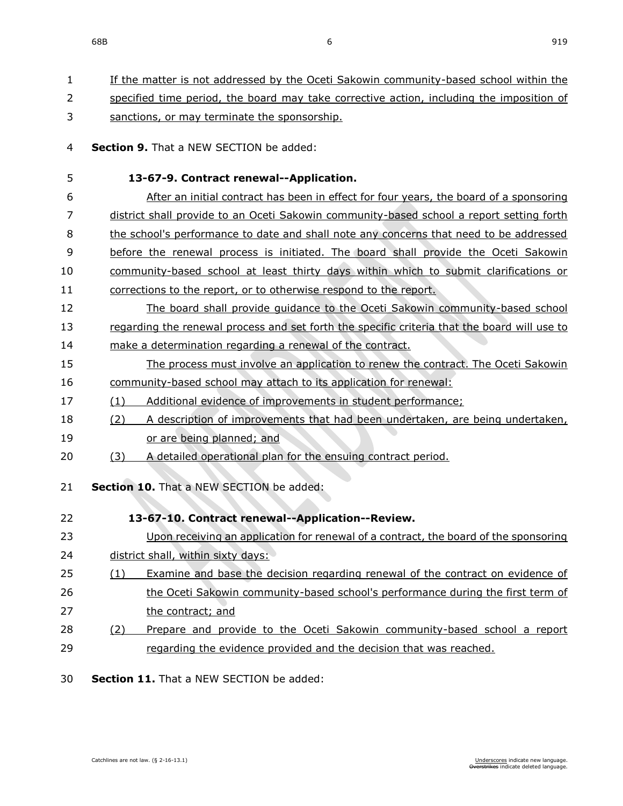| 1  |     | If the matter is not addressed by the Oceti Sakowin community-based school within the        |
|----|-----|----------------------------------------------------------------------------------------------|
| 2  |     | specified time period, the board may take corrective action, including the imposition of     |
| 3  |     | sanctions, or may terminate the sponsorship.                                                 |
| 4  |     | Section 9. That a NEW SECTION be added:                                                      |
| 5  |     | 13-67-9. Contract renewal--Application.                                                      |
| 6  |     | After an initial contract has been in effect for four years, the board of a sponsoring       |
| 7  |     | district shall provide to an Oceti Sakowin community-based school a report setting forth     |
| 8  |     | the school's performance to date and shall note any concerns that need to be addressed       |
| 9  |     | before the renewal process is initiated. The board shall provide the Oceti Sakowin           |
| 10 |     | community-based school at least thirty days within which to submit clarifications or         |
| 11 |     | corrections to the report, or to otherwise respond to the report.                            |
| 12 |     | The board shall provide quidance to the Oceti Sakowin community-based school                 |
| 13 |     | regarding the renewal process and set forth the specific criteria that the board will use to |
| 14 |     | make a determination regarding a renewal of the contract.                                    |
| 15 |     | The process must involve an application to renew the contract. The Oceti Sakowin             |
| 16 |     | community-based school may attach to its application for renewal:                            |
| 17 | (1) | Additional evidence of improvements in student performance;                                  |
| 18 | (2) | A description of improvements that had been undertaken, are being undertaken,                |
| 19 |     | or are being planned; and                                                                    |
| 20 | (3) | A detailed operational plan for the ensuing contract period.                                 |
| 21 |     | Section 10. That a NEW SECTION be added:                                                     |
| 22 |     | 13-67-10. Contract renewal--Application--Review.                                             |
| 23 |     | Upon receiving an application for renewal of a contract, the board of the sponsoring         |
| 24 |     | district shall, within sixty days:                                                           |
| 25 | (1) | Examine and base the decision regarding renewal of the contract on evidence of               |
| 26 |     | the Oceti Sakowin community-based school's performance during the first term of              |
| 27 |     | the contract; and                                                                            |
| 28 | (2) | Prepare and provide to the Oceti Sakowin community-based school a report                     |
| 29 |     | regarding the evidence provided and the decision that was reached.                           |
| 30 |     | Section 11. That a NEW SECTION be added:                                                     |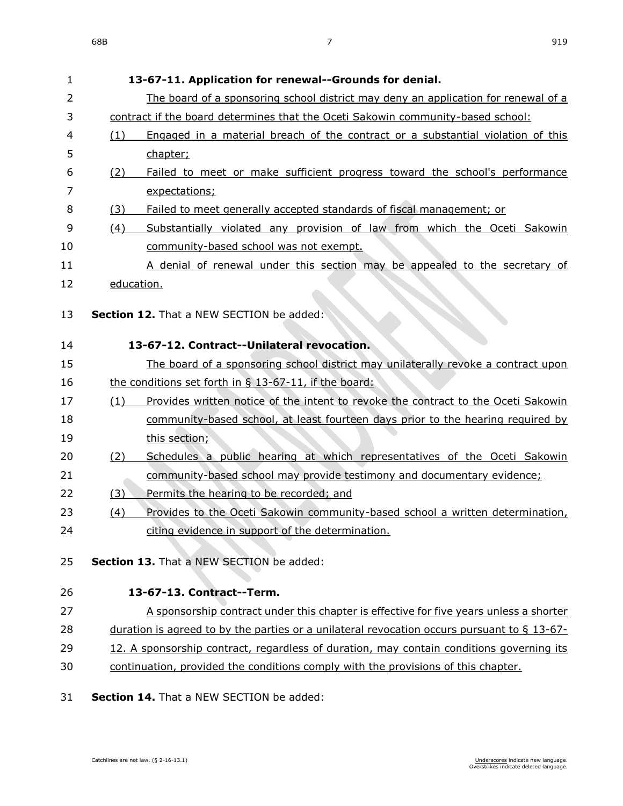| 1  | 13-67-11. Application for renewal--Grounds for denial.                                         |
|----|------------------------------------------------------------------------------------------------|
| 2  | The board of a sponsoring school district may deny an application for renewal of a             |
| 3  | contract if the board determines that the Oceti Sakowin community-based school:                |
| 4  | Engaged in a material breach of the contract or a substantial violation of this<br>(1)         |
| 5  | chapter;                                                                                       |
| 6  | Failed to meet or make sufficient progress toward the school's performance<br>(2)              |
| 7  | expectations;                                                                                  |
| 8  | Failed to meet generally accepted standards of fiscal management; or<br>(3)                    |
| 9  | Substantially violated any provision of law from which the Oceti Sakowin<br>(4)                |
| 10 | community-based school was not exempt.                                                         |
| 11 | A denial of renewal under this section may be appealed to the secretary of                     |
| 12 | education.                                                                                     |
|    |                                                                                                |
| 13 | <b>Section 12.</b> That a NEW SECTION be added:                                                |
| 14 | 13-67-12. Contract--Unilateral revocation.                                                     |
| 15 | The board of a sponsoring school district may unilaterally revoke a contract upon              |
| 16 | the conditions set forth in § 13-67-11, if the board:                                          |
| 17 | Provides written notice of the intent to revoke the contract to the Oceti Sakowin<br>(1)       |
| 18 | community-based school, at least fourteen days prior to the hearing required by                |
| 19 | this section;                                                                                  |
| 20 | Schedules a public hearing at which representatives of the Oceti Sakowin<br><u>(2)</u>         |
| 21 | community-based school may provide testimony and documentary evidence;                         |
| 22 | (3)<br>Permits the hearing to be recorded; and                                                 |
| 23 | Provides to the Oceti Sakowin community-based school a written determination,<br><u>(4)</u>    |
| 24 | citing evidence in support of the determination.                                               |
|    | Section 13. That a NEW SECTION be added:                                                       |
| 25 |                                                                                                |
| 26 | 13-67-13. Contract--Term.                                                                      |
| 27 | A sponsorship contract under this chapter is effective for five years unless a shorter         |
| 28 | duration is agreed to by the parties or a unilateral revocation occurs pursuant to $\S$ 13-67- |
| 29 | 12. A sponsorship contract, regardless of duration, may contain conditions governing its       |
| 30 | continuation, provided the conditions comply with the provisions of this chapter.              |
| 21 | Soction 14 That a NEW CECTION bo addod:                                                        |

**Section 14.** That a NEW SECTION be added: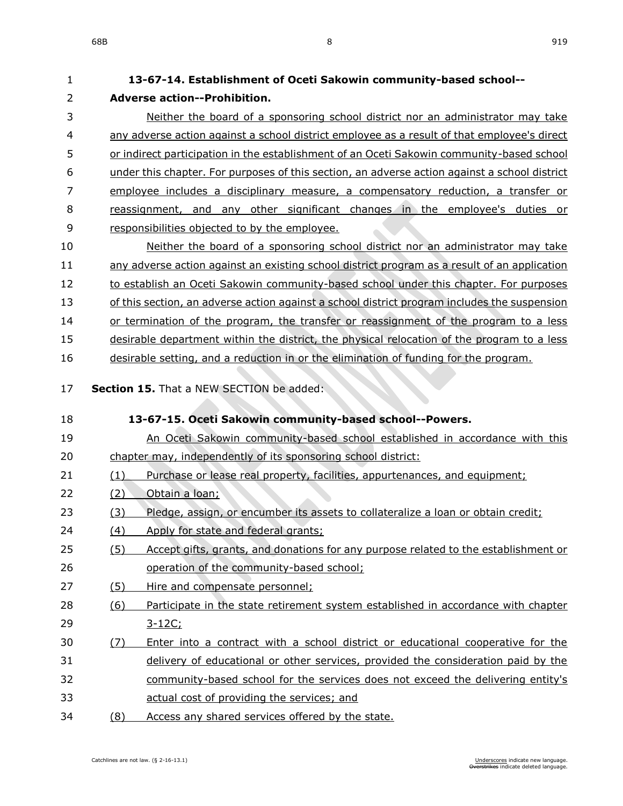| $\mathbf{1}$   | 13-67-14. Establishment of Oceti Sakowin community-based school--                              |
|----------------|------------------------------------------------------------------------------------------------|
| $\overline{2}$ | <b>Adverse action--Prohibition.</b>                                                            |
| 3              | Neither the board of a sponsoring school district nor an administrator may take                |
| 4              | any adverse action against a school district employee as a result of that employee's direct    |
| 5              | or indirect participation in the establishment of an Oceti Sakowin community-based school      |
| 6              | under this chapter. For purposes of this section, an adverse action against a school district  |
| 7              | employee includes a disciplinary measure, a compensatory reduction, a transfer or              |
| 8              | reassignment, and any other significant changes in the employee's duties or                    |
| 9              | responsibilities objected to by the employee.                                                  |
| 10             | Neither the board of a sponsoring school district nor an administrator may take                |
| 11             | any adverse action against an existing school district program as a result of an application   |
| 12             | to establish an Oceti Sakowin community-based school under this chapter. For purposes          |
| 13             | of this section, an adverse action against a school district program includes the suspension   |
| 14             | or termination of the program, the transfer or reassignment of the program to a less           |
| 15             | desirable department within the district, the physical relocation of the program to a less     |
| 16             | desirable setting, and a reduction in or the elimination of funding for the program.           |
| 17             | Section 15. That a NEW SECTION be added:                                                       |
| 18             | 13-67-15. Oceti Sakowin community-based school--Powers.                                        |
| 19             | An Oceti Sakowin community-based school established in accordance with this                    |
| 20             | chapter may, independently of its sponsoring school district:                                  |
| 21             | (1)<br>Purchase or lease real property, facilities, appurtenances, and equipment;              |
| 22             | Obtain a loan;<br>(2)                                                                          |
| 23             | Pledge, assign, or encumber its assets to collateralize a loan or obtain credit;<br><u>(3)</u> |
| 24             | Apply for state and federal grants;<br>(4)                                                     |
| 25             | (5)<br>Accept gifts, grants, and donations for any purpose related to the establishment or     |
| 26             | operation of the community-based school;                                                       |
| 27             | Hire and compensate personnel;<br>(5)                                                          |
| 28             |                                                                                                |
|                | Participate in the state retirement system established in accordance with chapter<br>(6)       |
| 29             | $3 - 12C$ ;                                                                                    |
| 30             | Enter into a contract with a school district or educational cooperative for the<br>(7)         |
| 31             | delivery of educational or other services, provided the consideration paid by the              |
| 32             | community-based school for the services does not exceed the delivering entity's                |
| 33             | actual cost of providing the services; and                                                     |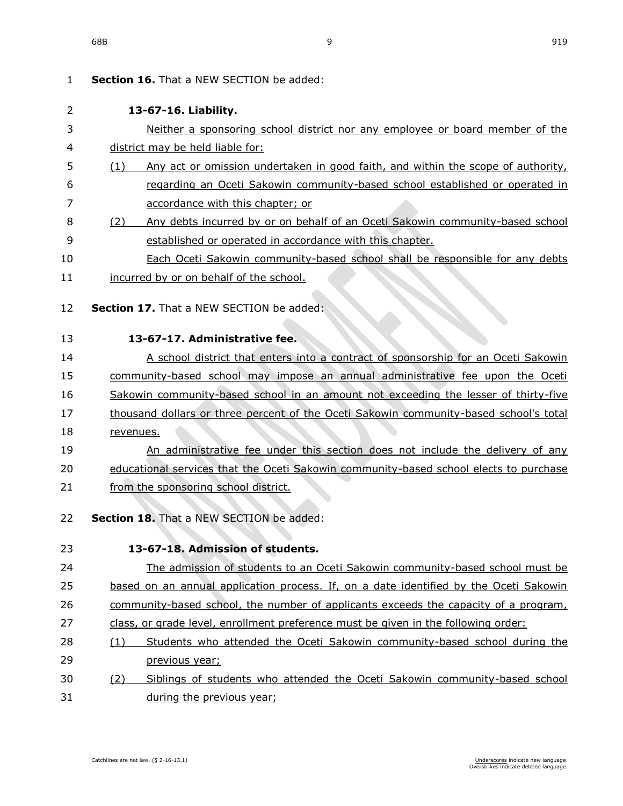| 1  | <b>Section 16.</b> That a NEW SECTION be added:                                         |
|----|-----------------------------------------------------------------------------------------|
| 2  | 13-67-16. Liability.                                                                    |
| 3  | Neither a sponsoring school district nor any employee or board member of the            |
| 4  | district may be held liable for:                                                        |
| 5  | Any act or omission undertaken in good faith, and within the scope of authority,<br>(1) |
| 6  | regarding an Oceti Sakowin community-based school established or operated in            |
| 7  | accordance with this chapter; or                                                        |
| 8  | Any debts incurred by or on behalf of an Oceti Sakowin community-based school<br>(2)    |
| 9  | established or operated in accordance with this chapter.                                |
| 10 | Each Oceti Sakowin community-based school shall be responsible for any debts            |
| 11 | incurred by or on behalf of the school.                                                 |
| 12 | Section 17. That a NEW SECTION be added:                                                |
|    |                                                                                         |
| 13 | 13-67-17. Administrative fee.                                                           |
| 14 | A school district that enters into a contract of sponsorship for an Oceti Sakowin       |
| 15 | community-based school may impose an annual administrative fee upon the Oceti           |
| 16 | Sakowin community-based school in an amount not exceeding the lesser of thirty-five     |
| 17 | thousand dollars or three percent of the Oceti Sakowin community-based school's total   |
| 18 | revenues.                                                                               |
| 19 | An administrative fee under this section does not include the delivery of any           |
| 20 | educational services that the Oceti Sakowin community-based school elects to purchase   |
| 21 | from the sponsoring school district.                                                    |
| 22 | Section 18. That a NEW SECTION be added:                                                |
| 23 | 13-67-18. Admission of students.                                                        |
| 24 | The admission of students to an Oceti Sakowin community-based school must be            |
| 25 | based on an annual application process. If, on a date identified by the Oceti Sakowin   |
| 26 | community-based school, the number of applicants exceeds the capacity of a program,     |
| 27 | class, or grade level, enrollment preference must be given in the following order:      |
| 28 | Students who attended the Oceti Sakowin community-based school during the<br>(1)        |
| 29 | previous year;                                                                          |
| 30 | Siblings of students who attended the Oceti Sakowin community-based school<br>(2)       |
| 31 | during the previous year;                                                               |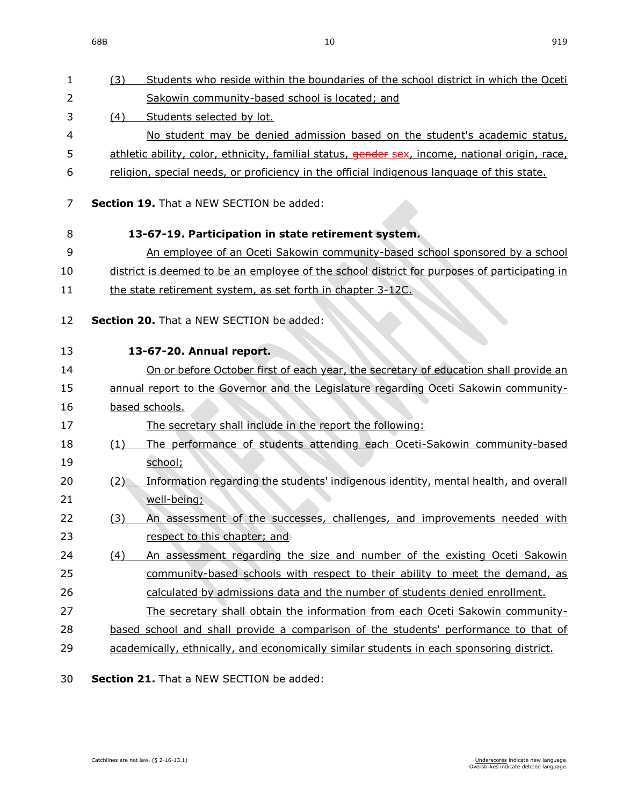68B 10 919

| 1  | Students who reside within the boundaries of the school district in which the Oceti<br>(3)      |
|----|-------------------------------------------------------------------------------------------------|
| 2  | Sakowin community-based school is located; and                                                  |
| 3  | Students selected by lot.<br>(4)                                                                |
| 4  | No student may be denied admission based on the student's academic status,                      |
| 5  | athletic ability, color, ethnicity, familial status, gender sex, income, national origin, race, |
| 6  | religion, special needs, or proficiency in the official indigenous language of this state.      |
| 7  | <b>Section 19.</b> That a NEW SECTION be added:                                                 |
| 8  | 13-67-19. Participation in state retirement system.                                             |
| 9  | An employee of an Oceti Sakowin community-based school sponsored by a school                    |
| 10 | district is deemed to be an employee of the school district for purposes of participating in    |
| 11 | the state retirement system, as set forth in chapter 3-12C.                                     |
| 12 | Section 20. That a NEW SECTION be added:                                                        |
| 13 | 13-67-20. Annual report.                                                                        |
| 14 | On or before October first of each year, the secretary of education shall provide an            |
| 15 | annual report to the Governor and the Legislature regarding Oceti Sakowin community-            |
| 16 | based schools.                                                                                  |
| 17 | The secretary shall include in the report the following:                                        |
| 18 | The performance of students attending each Oceti-Sakowin community-based<br>(1)                 |
| 19 | school;                                                                                         |
| 20 | Information regarding the students' indigenous identity, mental health, and overall<br>(2)      |
| 21 | well-being;                                                                                     |
| 22 | An assessment of the successes, challenges, and improvements needed with<br>(3)                 |
| 23 | respect to this chapter; and                                                                    |
| 24 | An assessment regarding the size and number of the existing Oceti Sakowin<br>(4)                |
| 25 | community-based schools with respect to their ability to meet the demand, as                    |
| 26 | calculated by admissions data and the number of students denied enrollment.                     |
| 27 | The secretary shall obtain the information from each Oceti Sakowin community-                   |
| 28 | based school and shall provide a comparison of the students' performance to that of             |
| 29 | academically, ethnically, and economically similar students in each sponsoring district.        |
|    |                                                                                                 |

**Section 21.** That a NEW SECTION be added: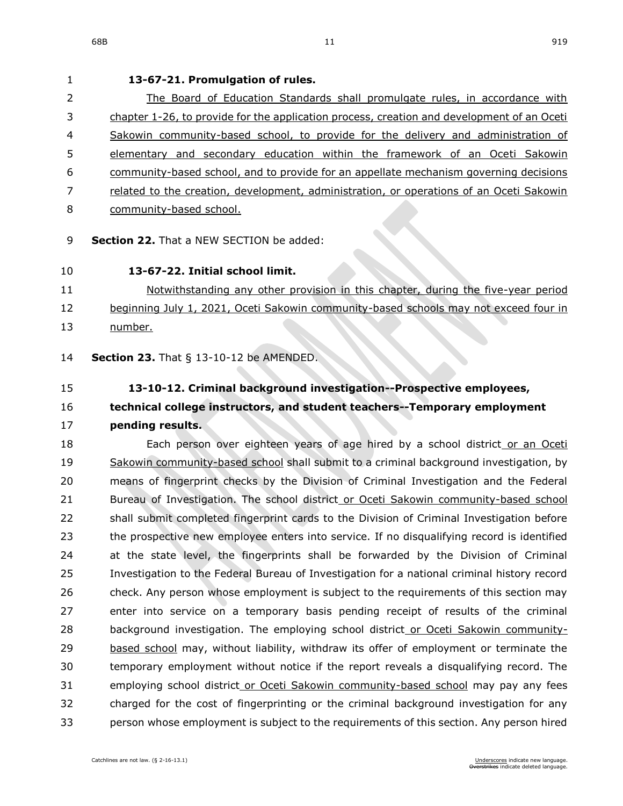## **13-67-21. Promulgation of rules.** 2 The Board of Education Standards shall promulgate rules, in accordance with chapter [1-26,](https://sdlegislature.gov/Statutes/Codified_Laws/DisplayStatute.aspx?Type=Statute&Statute=1-26) to provide for the application process, creation and development of an Oceti Sakowin community-based school, to provide for the delivery and administration of elementary and secondary education within the framework of an Oceti Sakowin community-based school, and to provide for an appellate mechanism governing decisions related to the creation, development, administration, or operations of an Oceti Sakowin community-based school. **Section 22.** That a NEW SECTION be added: **13-67-22. Initial school limit.** Notwithstanding any other provision in this chapter, during the five-year period 12 beginning July 1, 2021, Oceti Sakowin community-based schools may not exceed four in number. **Section 23.** [That § 13-10-12 be AMENDED.](https://sdlegislature.gov/Statutes/Codified_Laws/DisplayStatute.aspx?Type=Statute&Statute=13-10-12) **[13-10-12. C](https://sdlegislature.gov/Statutes/Codified_Laws/DisplayStatute.aspx?Type=Statute&Statute=13-10-12)riminal background investigation--Prospective employees, technical college instructors, and student teachers--Temporary employment pending results.** 18 Each person over eighteen years of age hired by a school district or an Oceti Sakowin community-based school shall submit to a criminal background investigation, by means of fingerprint checks by the Division of Criminal Investigation and the Federal Bureau of Investigation. The school district or Oceti Sakowin community-based school shall submit completed fingerprint cards to the Division of Criminal Investigation before the prospective new employee enters into service. If no disqualifying record is identified at the state level, the fingerprints shall be forwarded by the Division of Criminal Investigation to the Federal Bureau of Investigation for a national criminal history record check. Any person whose employment is subject to the requirements of this section may enter into service on a temporary basis pending receipt of results of the criminal

 background investigation. The employing school district or Oceti Sakowin community- based school may, without liability, withdraw its offer of employment or terminate the temporary employment without notice if the report reveals a disqualifying record. The 31 employing school district or Oceti Sakowin community-based school may pay any fees charged for the cost of fingerprinting or the criminal background investigation for any person whose employment is subject to the requirements of this section. Any person hired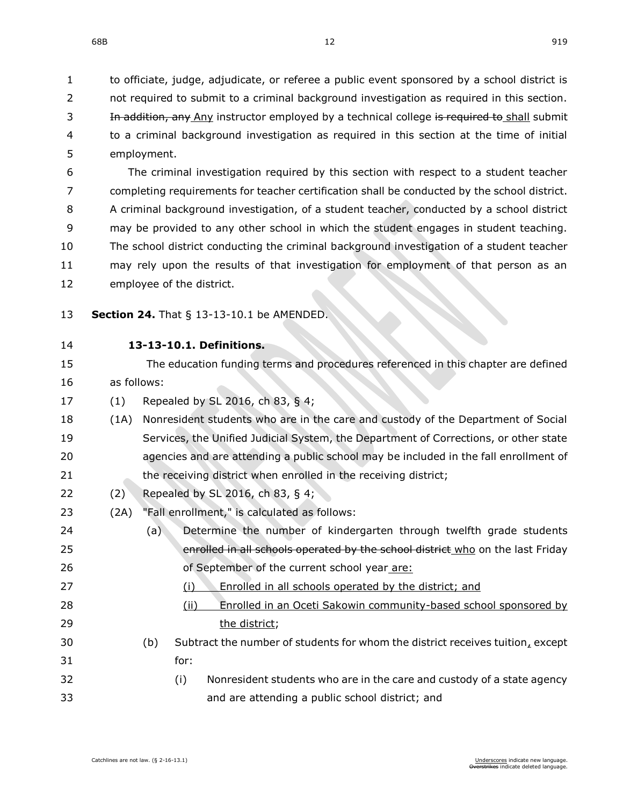to officiate, judge, adjudicate, or referee a public event sponsored by a school district is 2 not required to submit to a criminal background investigation as required in this section. 3 In addition, any Any instructor employed by a technical college is required to shall submit to a criminal background investigation as required in this section at the time of initial employment.

 The criminal investigation required by this section with respect to a student teacher completing requirements for teacher certification shall be conducted by the school district. A criminal background investigation, of a student teacher, conducted by a school district may be provided to any other school in which the student engages in student teaching. The school district conducting the criminal background investigation of a student teacher may rely upon the results of that investigation for employment of that person as an employee of the district.

- **Section 24.** [That § 13-13-10.1 be AMENDED.](https://sdlegislature.gov/Statutes/Codified_Laws/DisplayStatute.aspx?Type=Statute&Statute=13-13-10.1)
- 

### **[13-13-10.1. D](https://sdlegislature.gov/Statutes/Codified_Laws/DisplayStatute.aspx?Type=Statute&Statute=13-13-10.1)efinitions.**

- The education funding terms and procedures referenced in this chapter are defined as follows:
- (1) Repealed by SL 2016, ch 83, § 4;
- (1A) Nonresident students who are in the care and custody of the Department of Social Services, the Unified Judicial System, the Department of Corrections, or other state agencies and are attending a public school may be included in the fall enrollment of 21 the receiving district when enrolled in the receiving district;
- (2) Repealed by SL 2016, ch 83, § 4;
- (2A) "Fall enrollment," is calculated as follows:
- (a) Determine the number of kindergarten through twelfth grade students 25 enrolled in all schools operated by the school district who on the last Friday of September of the current school year are:
- (i) Enrolled in all schools operated by the district; and
- (ii) Enrolled in an Oceti Sakowin community-based school sponsored by 29 the district:
- (b) Subtract the number of students for whom the district receives tuition, except for:
- (i) Nonresident students who are in the care and custody of a state agency and are attending a public school district; and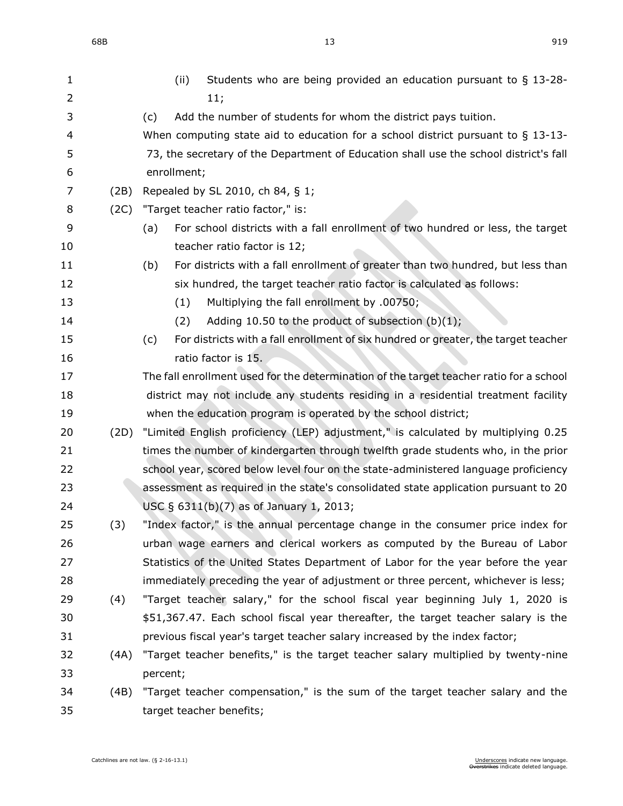| 1  |      | Students who are being provided an education pursuant to $\S$ 13-28-<br>(ii)              |
|----|------|-------------------------------------------------------------------------------------------|
| 2  |      | 11;                                                                                       |
| 3  |      | Add the number of students for whom the district pays tuition.<br>(c)                     |
| 4  |      | When computing state aid to education for a school district pursuant to $\S$ 13-13-       |
| 5  |      | 73, the secretary of the Department of Education shall use the school district's fall     |
| 6  |      | enrollment;                                                                               |
| 7  | (2B) | Repealed by SL 2010, ch 84, § 1;                                                          |
| 8  | (2C) | "Target teacher ratio factor," is:                                                        |
| 9  |      | For school districts with a fall enrollment of two hundred or less, the target<br>(a)     |
| 10 |      | teacher ratio factor is 12;                                                               |
| 11 |      | For districts with a fall enrollment of greater than two hundred, but less than<br>(b)    |
| 12 |      | six hundred, the target teacher ratio factor is calculated as follows:                    |
| 13 |      | Multiplying the fall enrollment by .00750;<br>(1)                                         |
| 14 |      | Adding 10.50 to the product of subsection (b)(1);<br>(2)                                  |
| 15 |      | For districts with a fall enrollment of six hundred or greater, the target teacher<br>(c) |
| 16 |      | ratio factor is 15.                                                                       |
| 17 |      | The fall enrollment used for the determination of the target teacher ratio for a school   |
| 18 |      | district may not include any students residing in a residential treatment facility        |
| 19 |      | when the education program is operated by the school district;                            |
| 20 | (2D) | "Limited English proficiency (LEP) adjustment," is calculated by multiplying 0.25         |
| 21 |      | times the number of kindergarten through twelfth grade students who, in the prior         |
| 22 |      | school year, scored below level four on the state-administered language proficiency       |
| 23 |      | assessment as required in the state's consolidated state application pursuant to 20       |
| 24 |      | USC § 6311(b)(7) as of January 1, 2013;                                                   |
| 25 | (3)  | "Index factor," is the annual percentage change in the consumer price index for           |
| 26 |      | urban wage earners and clerical workers as computed by the Bureau of Labor                |
| 27 |      | Statistics of the United States Department of Labor for the year before the year          |
| 28 |      | immediately preceding the year of adjustment or three percent, whichever is less;         |
| 29 | (4)  | "Target teacher salary," for the school fiscal year beginning July 1, 2020 is             |
| 30 |      | \$51,367.47. Each school fiscal year thereafter, the target teacher salary is the         |
| 31 |      | previous fiscal year's target teacher salary increased by the index factor;               |
| 32 | (4A) | "Target teacher benefits," is the target teacher salary multiplied by twenty-nine         |
| 33 |      | percent;                                                                                  |
| 34 | (4B) | "Target teacher compensation," is the sum of the target teacher salary and the            |
| 35 |      | target teacher benefits;                                                                  |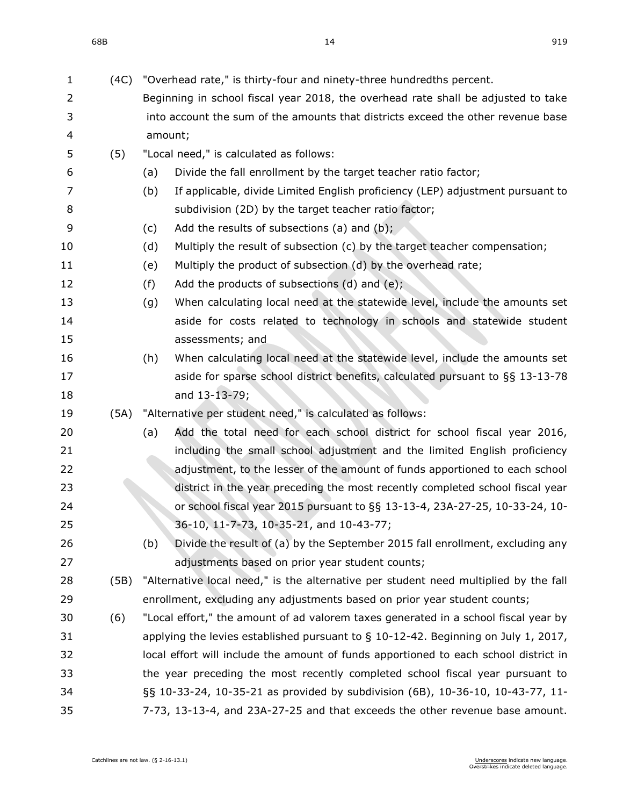| $\mathbf{1}$ | (4C) | "Overhead rate," is thirty-four and ninety-three hundredths percent.                  |
|--------------|------|---------------------------------------------------------------------------------------|
| 2            |      | Beginning in school fiscal year 2018, the overhead rate shall be adjusted to take     |
| 3            |      | into account the sum of the amounts that districts exceed the other revenue base      |
| 4            |      | amount;                                                                               |
| 5            | (5)  | "Local need," is calculated as follows:                                               |
| 6            |      | Divide the fall enrollment by the target teacher ratio factor;<br>(a)                 |
| 7            |      | If applicable, divide Limited English proficiency (LEP) adjustment pursuant to<br>(b) |
| 8            |      | subdivision (2D) by the target teacher ratio factor;                                  |
| 9            |      | Add the results of subsections (a) and (b);<br>(c)                                    |
| 10           |      | (d)<br>Multiply the result of subsection (c) by the target teacher compensation;      |
| 11           |      | Multiply the product of subsection (d) by the overhead rate;<br>(e)                   |
| 12           |      | Add the products of subsections $(d)$ and $(e)$ ;<br>(f)                              |
| 13           |      | When calculating local need at the statewide level, include the amounts set<br>(g)    |
| 14           |      | aside for costs related to technology in schools and statewide student                |
| 15           |      | assessments; and                                                                      |
| 16           |      | When calculating local need at the statewide level, include the amounts set<br>(h)    |
| 17           |      | aside for sparse school district benefits, calculated pursuant to §§ 13-13-78         |
| 18           |      | and 13-13-79;                                                                         |
| 19           | (5A) | "Alternative per student need," is calculated as follows:                             |
| 20           |      | Add the total need for each school district for school fiscal year 2016,<br>(a)       |
| 21           |      | including the small school adjustment and the limited English proficiency             |
| 22           |      | adjustment, to the lesser of the amount of funds apportioned to each school           |
| 23           |      | district in the year preceding the most recently completed school fiscal year         |
| 24           |      | or school fiscal year 2015 pursuant to §§ 13-13-4, 23A-27-25, 10-33-24, 10-           |
| 25           |      | 36-10, 11-7-73, 10-35-21, and 10-43-77;                                               |
| 26           |      | Divide the result of (a) by the September 2015 fall enrollment, excluding any<br>(b)  |
| 27           |      | adjustments based on prior year student counts;                                       |
| 28           | (5B) | "Alternative local need," is the alternative per student need multiplied by the fall  |
| 29           |      | enrollment, excluding any adjustments based on prior year student counts;             |
| 30           | (6)  | "Local effort," the amount of ad valorem taxes generated in a school fiscal year by   |
| 31           |      | applying the levies established pursuant to $\S$ 10-12-42. Beginning on July 1, 2017, |
| 32           |      | local effort will include the amount of funds apportioned to each school district in  |
| 33           |      | the year preceding the most recently completed school fiscal year pursuant to         |
| 34           |      | §§ 10-33-24, 10-35-21 as provided by subdivision (6B), 10-36-10, 10-43-77, 11-        |
| 35           |      | 7-73, 13-13-4, and 23A-27-25 and that exceeds the other revenue base amount.          |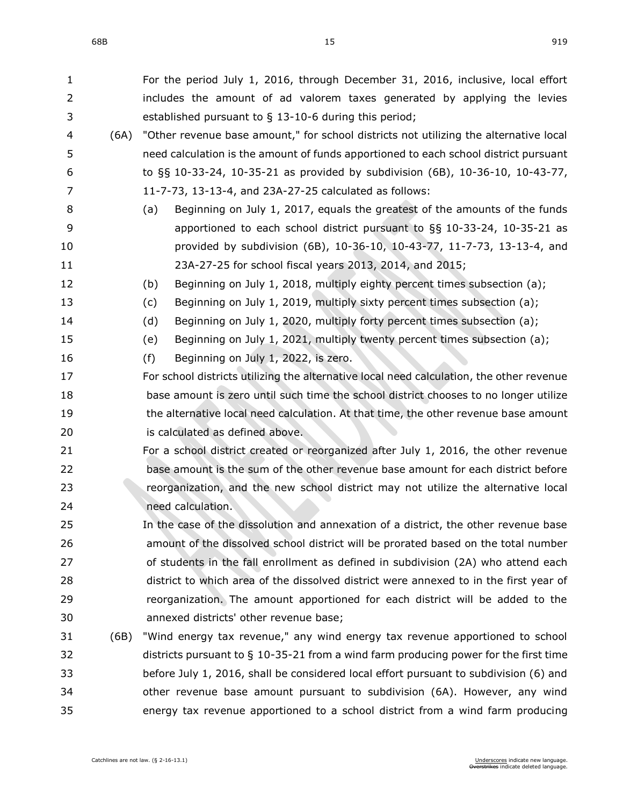68B 15 919

| $\mathbf{1}$ |      | For the period July 1, 2016, through December 31, 2016, inclusive, local effort          |
|--------------|------|------------------------------------------------------------------------------------------|
| 2            |      | includes the amount of ad valorem taxes generated by applying the levies                 |
| 3            |      | established pursuant to $\S$ 13-10-6 during this period;                                 |
| 4            | (6A) | "Other revenue base amount," for school districts not utilizing the alternative local    |
| 5            |      | need calculation is the amount of funds apportioned to each school district pursuant     |
| 6            |      | to §§ 10-33-24, 10-35-21 as provided by subdivision (6B), 10-36-10, 10-43-77,            |
| 7            |      | 11-7-73, 13-13-4, and 23A-27-25 calculated as follows:                                   |
| 8            |      | Beginning on July 1, 2017, equals the greatest of the amounts of the funds<br>(a)        |
| 9            |      | apportioned to each school district pursuant to §§ 10-33-24, 10-35-21 as                 |
| 10           |      | provided by subdivision (6B), 10-36-10, 10-43-77, 11-7-73, 13-13-4, and                  |
| 11           |      | 23A-27-25 for school fiscal years 2013, 2014, and 2015;                                  |
| 12           |      | Beginning on July 1, 2018, multiply eighty percent times subsection (a);<br>(b)          |
| 13           |      | Beginning on July 1, 2019, multiply sixty percent times subsection (a);<br>(c)           |
| 14           |      | Beginning on July 1, 2020, multiply forty percent times subsection (a);<br>(d)           |
| 15           |      | Beginning on July 1, 2021, multiply twenty percent times subsection (a);<br>(e)          |
| 16           |      | (f)<br>Beginning on July 1, 2022, is zero.                                               |
| 17           |      | For school districts utilizing the alternative local need calculation, the other revenue |
| 18           |      | base amount is zero until such time the school district chooses to no longer utilize     |
| 19           |      | the alternative local need calculation. At that time, the other revenue base amount      |
| 20           |      | is calculated as defined above.                                                          |
| 21           |      | For a school district created or reorganized after July 1, 2016, the other revenue       |
| 22           |      | base amount is the sum of the other revenue base amount for each district before         |
| 23           |      | reorganization, and the new school district may not utilize the alternative local        |
| 24           |      | need calculation.                                                                        |
| 25           |      | In the case of the dissolution and annexation of a district, the other revenue base      |
| 26           |      | amount of the dissolved school district will be prorated based on the total number       |
| 27           |      | of students in the fall enrollment as defined in subdivision (2A) who attend each        |
| 28           |      | district to which area of the dissolved district were annexed to in the first year of    |
| 29           |      | reorganization. The amount apportioned for each district will be added to the            |
| 30           |      | annexed districts' other revenue base;                                                   |
| 31           | (6B) | "Wind energy tax revenue," any wind energy tax revenue apportioned to school             |
| 32           |      | districts pursuant to $\S$ 10-35-21 from a wind farm producing power for the first time  |
| 33           |      | before July 1, 2016, shall be considered local effort pursuant to subdivision (6) and    |
| 34           |      | other revenue base amount pursuant to subdivision (6A). However, any wind                |
| 35           |      | energy tax revenue apportioned to a school district from a wind farm producing           |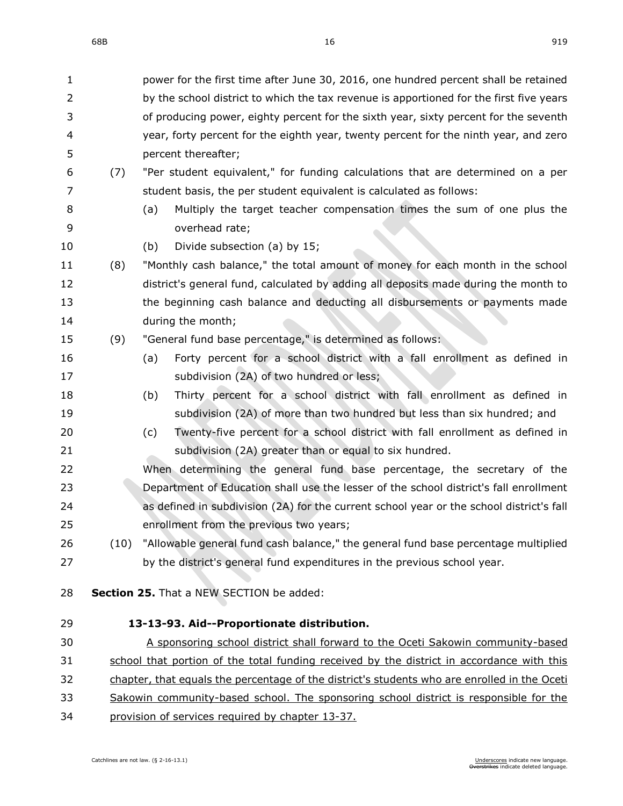| $\mathbf 1$ |      | power for the first time after June 30, 2016, one hundred percent shall be retained          |
|-------------|------|----------------------------------------------------------------------------------------------|
| 2           |      | by the school district to which the tax revenue is apportioned for the first five years      |
| 3           |      | of producing power, eighty percent for the sixth year, sixty percent for the seventh         |
| 4           |      | year, forty percent for the eighth year, twenty percent for the ninth year, and zero         |
| 5           |      | percent thereafter;                                                                          |
| 6           | (7)  | "Per student equivalent," for funding calculations that are determined on a per              |
| 7           |      | student basis, the per student equivalent is calculated as follows:                          |
| 8           |      | Multiply the target teacher compensation times the sum of one plus the<br>(a)                |
| 9           |      | overhead rate;                                                                               |
| 10          |      | Divide subsection (a) by 15;<br>(b)                                                          |
| 11          | (8)  | "Monthly cash balance," the total amount of money for each month in the school               |
| 12          |      | district's general fund, calculated by adding all deposits made during the month to          |
| 13          |      | the beginning cash balance and deducting all disbursements or payments made                  |
| 14          |      | during the month;                                                                            |
| 15          | (9)  | "General fund base percentage," is determined as follows:                                    |
| 16          |      | Forty percent for a school district with a fall enrollment as defined in<br>(a)              |
| 17          |      | subdivision (2A) of two hundred or less;                                                     |
| 18          |      | Thirty percent for a school district with fall enrollment as defined in<br>(b)               |
| 19          |      | subdivision (2A) of more than two hundred but less than six hundred; and                     |
| 20          |      | Twenty-five percent for a school district with fall enrollment as defined in<br>(c)          |
| 21          |      | subdivision (2A) greater than or equal to six hundred.                                       |
| 22          |      | When determining the general fund base percentage, the secretary of the                      |
| 23          |      | Department of Education shall use the lesser of the school district's fall enrollment        |
| 24          |      | as defined in subdivision (2A) for the current school year or the school district's fall     |
| 25          |      | enrollment from the previous two years;                                                      |
| 26          | (10) | "Allowable general fund cash balance," the general fund base percentage multiplied           |
| 27          |      | by the district's general fund expenditures in the previous school year.                     |
| 28          |      | Section 25. That a NEW SECTION be added:                                                     |
|             |      |                                                                                              |
| 29          |      | 13-13-93. Aid--Proportionate distribution.                                                   |
| 30          |      | A sponsoring school district shall forward to the Oceti Sakowin community-based              |
| 31          |      | school that portion of the total funding received by the district in accordance with this    |
| 32          |      | chapter, that equals the percentage of the district's students who are enrolled in the Oceti |

- 33 Sakowin community-based school. The sponsoring school district is responsible for the
- provision of services required by chapter [13-37.](https://sdlegislature.gov/Statutes/Codified_Laws/DisplayStatute.aspx?Type=Statute&Statute=13-37)